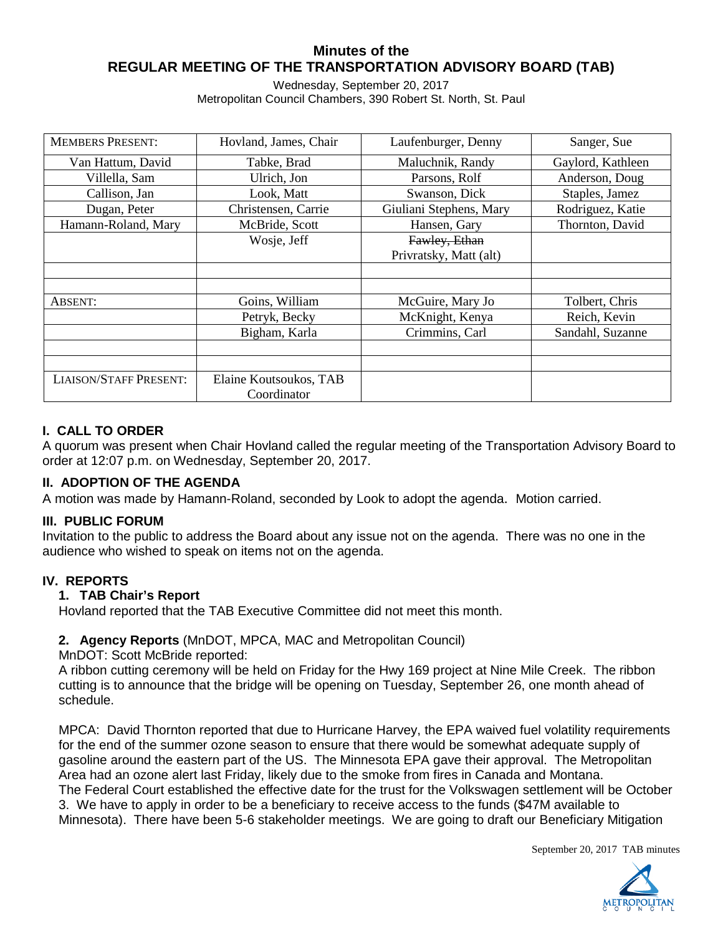# **Minutes of the REGULAR MEETING OF THE TRANSPORTATION ADVISORY BOARD (TAB)**

Wednesday, September 20, 2017 Metropolitan Council Chambers, 390 Robert St. North, St. Paul

| <b>MEMBERS PRESENT:</b>       | Hovland, James, Chair  | Laufenburger, Denny     | Sanger, Sue       |
|-------------------------------|------------------------|-------------------------|-------------------|
| Van Hattum, David             | Tabke, Brad            | Maluchnik, Randy        | Gaylord, Kathleen |
| Villella, Sam                 | Ulrich, Jon            | Parsons, Rolf           | Anderson, Doug    |
| Callison, Jan                 | Look, Matt             | Swanson, Dick           | Staples, Jamez    |
| Dugan, Peter                  | Christensen, Carrie    | Giuliani Stephens, Mary | Rodriguez, Katie  |
| Hamann-Roland, Mary           | McBride, Scott         | Hansen, Gary            | Thornton, David   |
|                               | Wosje, Jeff            | Fawley, Ethan           |                   |
|                               |                        | Privratsky, Matt (alt)  |                   |
|                               |                        |                         |                   |
|                               |                        |                         |                   |
| <b>ABSENT:</b>                | Goins, William         | McGuire, Mary Jo        | Tolbert, Chris    |
|                               | Petryk, Becky          | McKnight, Kenya         | Reich, Kevin      |
|                               | Bigham, Karla          | Crimmins, Carl          | Sandahl, Suzanne  |
|                               |                        |                         |                   |
|                               |                        |                         |                   |
| <b>LIAISON/STAFF PRESENT:</b> | Elaine Koutsoukos, TAB |                         |                   |
|                               | Coordinator            |                         |                   |

# **I. CALL TO ORDER**

A quorum was present when Chair Hovland called the regular meeting of the Transportation Advisory Board to order at 12:07 p.m. on Wednesday, September 20, 2017.

#### **II. ADOPTION OF THE AGENDA**

A motion was made by Hamann-Roland, seconded by Look to adopt the agenda. Motion carried.

#### **III. PUBLIC FORUM**

Invitation to the public to address the Board about any issue not on the agenda. There was no one in the audience who wished to speak on items not on the agenda.

#### **IV. REPORTS**

#### **1. TAB Chair's Report**

Hovland reported that the TAB Executive Committee did not meet this month.

#### **2. Agency Reports** (MnDOT, MPCA, MAC and Metropolitan Council)

#### MnDOT: Scott McBride reported:

A ribbon cutting ceremony will be held on Friday for the Hwy 169 project at Nine Mile Creek. The ribbon cutting is to announce that the bridge will be opening on Tuesday, September 26, one month ahead of schedule.

MPCA: David Thornton reported that due to Hurricane Harvey, the EPA waived fuel volatility requirements for the end of the summer ozone season to ensure that there would be somewhat adequate supply of gasoline around the eastern part of the US. The Minnesota EPA gave their approval. The Metropolitan Area had an ozone alert last Friday, likely due to the smoke from fires in Canada and Montana. The Federal Court established the effective date for the trust for the Volkswagen settlement will be October 3. We have to apply in order to be a beneficiary to receive access to the funds (\$47M available to Minnesota). There have been 5-6 stakeholder meetings. We are going to draft our Beneficiary Mitigation

September 20, 2017 TAB minutes

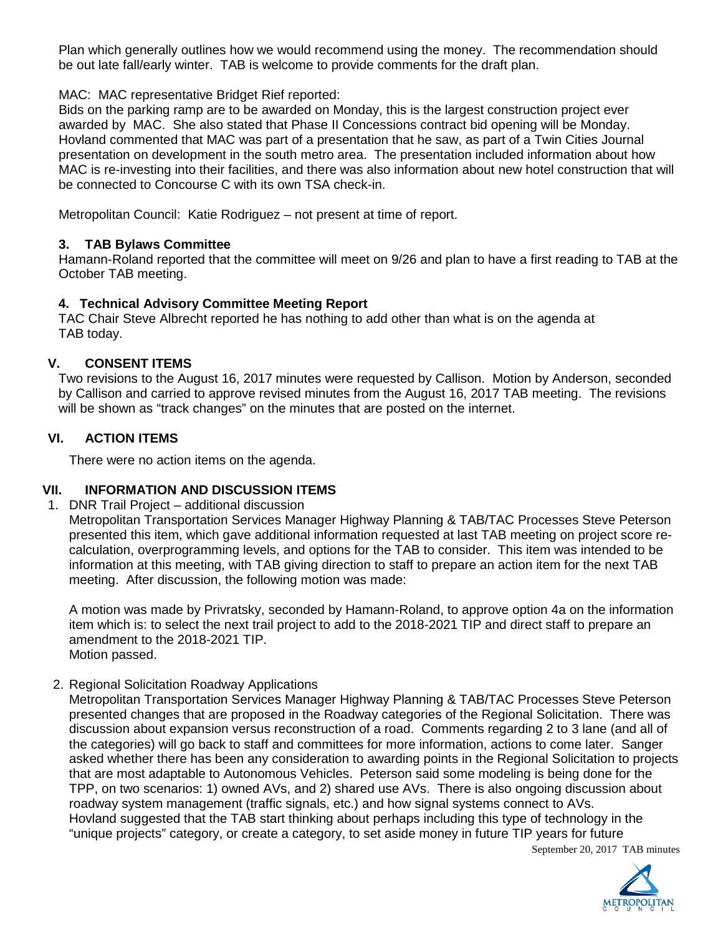Plan which generally outlines how we would recommend using the money. The recommendation should be out late fall/early winter. TAB is welcome to provide comments for the draft plan.

MAC: MAC representative Bridget Rief reported:

Bids on the parking ramp are to be awarded on Monday, this is the largest construction project ever awarded by MAC. She also stated that Phase II Concessions contract bid opening will be Monday. Hovland commented that MAC was part of a presentation that he saw, as part of a Twin Cities Journal presentation on development in the south metro area. The presentation included information about how MAC is re-investing into their facilities, and there was also information about new hotel construction that will be connected to Concourse C with its own TSA check-in.

Metropolitan Council: Katie Rodriguez – not present at time of report.

# **3. TAB Bylaws Committee**

Hamann-Roland reported that the committee will meet on 9/26 and plan to have a first reading to TAB at the October TAB meeting.

# **4. Technical Advisory Committee Meeting Report**

TAC Chair Steve Albrecht reported he has nothing to add other than what is on the agenda at TAB today.

# **V. CONSENT ITEMS**

Two revisions to the August 16, 2017 minutes were requested by Callison. Motion by Anderson, seconded by Callison and carried to approve revised minutes from the August 16, 2017 TAB meeting. The revisions will be shown as "track changes" on the minutes that are posted on the internet.

# **VI. ACTION ITEMS**

There were no action items on the agenda.

# **VII. INFORMATION AND DISCUSSION ITEMS**

1. DNR Trail Project – additional discussion

Metropolitan Transportation Services Manager Highway Planning & TAB/TAC Processes Steve Peterson presented this item, which gave additional information requested at last TAB meeting on project score recalculation, overprogramming levels, and options for the TAB to consider. This item was intended to be information at this meeting, with TAB giving direction to staff to prepare an action item for the next TAB meeting. After discussion, the following motion was made:

A motion was made by Privratsky, seconded by Hamann-Roland, to approve option 4a on the information item which is: to select the next trail project to add to the 2018-2021 TIP and direct staff to prepare an amendment to the 2018-2021 TIP. Motion passed.

2. Regional Solicitation Roadway Applications

September 20, 2017 TAB minutes Metropolitan Transportation Services Manager Highway Planning & TAB/TAC Processes Steve Peterson presented changes that are proposed in the Roadway categories of the Regional Solicitation. There was discussion about expansion versus reconstruction of a road. Comments regarding 2 to 3 lane (and all of the categories) will go back to staff and committees for more information, actions to come later. Sanger asked whether there has been any consideration to awarding points in the Regional Solicitation to projects that are most adaptable to Autonomous Vehicles. Peterson said some modeling is being done for the TPP, on two scenarios: 1) owned AVs, and 2) shared use AVs. There is also ongoing discussion about roadway system management (traffic signals, etc.) and how signal systems connect to AVs. Hovland suggested that the TAB start thinking about perhaps including this type of technology in the "unique projects" category, or create a category, to set aside money in future TIP years for future